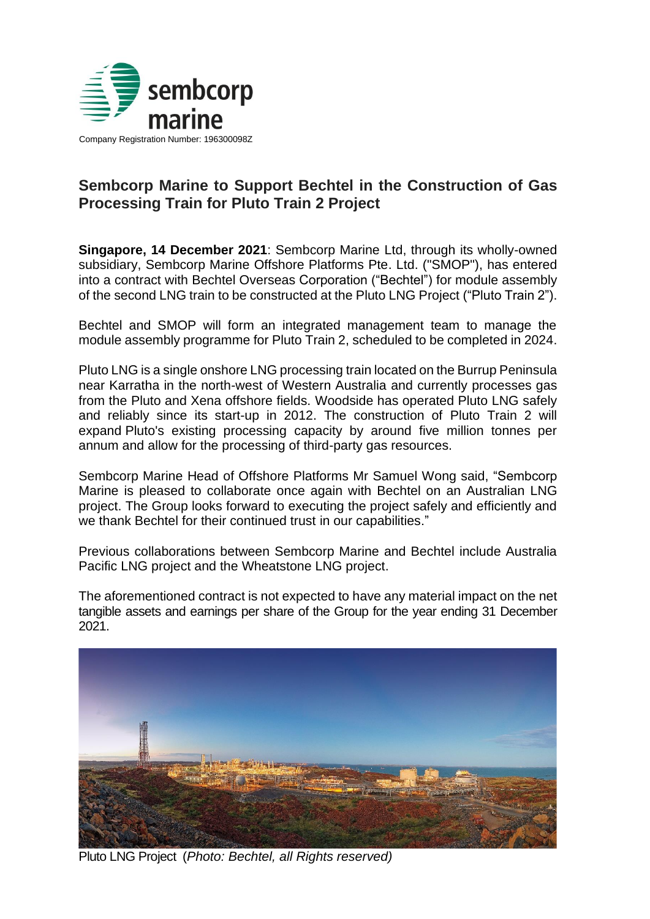

## **Sembcorp Marine to Support Bechtel in the Construction of Gas Processing Train for Pluto Train 2 Project**

**Singapore, 14 December 2021**: Sembcorp Marine Ltd, through its wholly-owned subsidiary, Sembcorp Marine Offshore Platforms Pte. Ltd. ("SMOP"), has entered into a contract with Bechtel Overseas Corporation ("Bechtel") for module assembly of the second LNG train to be constructed at the Pluto LNG Project ("Pluto Train 2").

Bechtel and SMOP will form an integrated management team to manage the module assembly programme for Pluto Train 2, scheduled to be completed in 2024.

Pluto LNG is a single onshore LNG processing train located on the Burrup Peninsula near Karratha in the north-west of Western Australia and currently processes gas from the Pluto and Xena offshore fields. Woodside has operated Pluto LNG safely and reliably since its start-up in 2012. The construction of Pluto Train 2 will expand Pluto's existing processing capacity by around five million tonnes per annum and allow for the processing of third-party gas resources.

Sembcorp Marine Head of Offshore Platforms Mr Samuel Wong said, "Sembcorp Marine is pleased to collaborate once again with Bechtel on an Australian LNG project. The Group looks forward to executing the project safely and efficiently and we thank Bechtel for their continued trust in our capabilities."

Previous collaborations between Sembcorp Marine and Bechtel include Australia Pacific LNG project and the Wheatstone LNG project.

The aforementioned contract is not expected to have any material impact on the net tangible assets and earnings per share of the Group for the year ending 31 December 2021.



Pluto LNG Project (*Photo: Bechtel, all Rights reserved)*